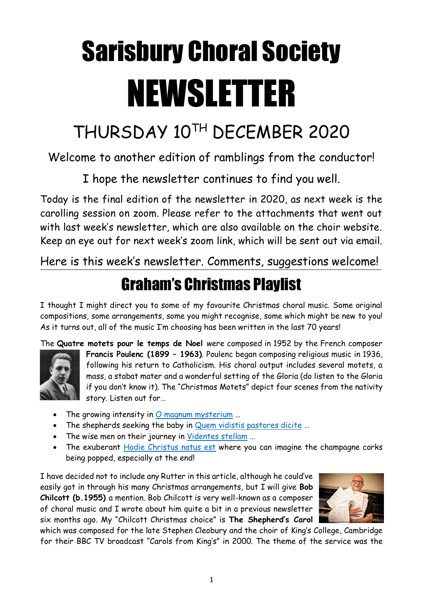## Sarisbury Choral Society NEWSLETTER

## THURSDAY 10TH DECEMBER 2020

## Welcome to another edition of ramblings from the conductor!

I hope the newsletter continues to find you well.

Today is the final edition of the newsletter in 2020, as next week is the carolling session on zoom. Please refer to the attachments that went out with last week's newsletter, which are also available on the choir website. Keep an eye out for next week's zoom link, which will be sent out via email.

Here is this week's newsletter. Comments, suggestions welcome!

## Graham's Christmas Playlist

I thought I might direct you to some of my favourite Christmas choral music. Some original compositions, some arrangements, some you might recognise, some which might be new to you! As it turns out, all of the music I'm choosing has been written in the last 70 years!

The **Quatre motets pour le temps de Noel** were composed in 1952 by the French composer



**Francis Poulenc (1899 – 1963)**. Poulenc began composing religious music in 1936, following his return to Catholicism. His choral output includes several motets, a mass, a stabat mater and a wonderful setting of the Gloria (do listen to the Gloria if you don't know it). The "Christmas Motets" depict four scenes from the nativity story. Listen out for…

- The growing intensity in  $O$  magnum mysterium ...
- The shepherds seeking the baby in [Quem vidistis pastores dicite](https://www.youtube.com/watch?v=xx7Mr-iojmk) ...
- The wise men on their journey in [Videntes stellam](https://www.youtube.com/watch?v=LuLFwoIHQHo) …
- The exuberant [Hodie Christus natus est](https://www.youtube.com/watch?v=LWeDk-6bu5M) where you can imagine the champagne corks being popped, especially at the end!

I have decided not to include any Rutter in this article, although he could've easily got in through his many Christmas arrangements, but I will give **Bob Chilcott (b.1955)** a mention. Bob Chilcott is very well-known as a composer of choral music and I wrote about him quite a bit in a previous newsletter six months ago. My "Chilcott Christmas choice" is **The Shepherd's Carol**



which was composed for the late Stephen Cleobury and the choir of King's College, Cambridge for their BBC TV broadcast "Carols from King's" in 2000. The theme of the service was the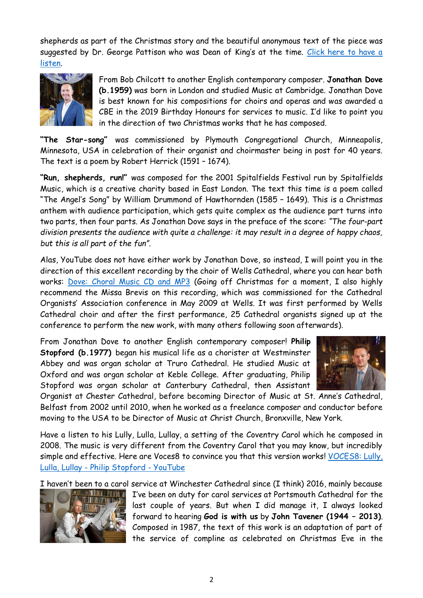shepherds as part of the Christmas story and the beautiful anonymous text of the piece was suggested by Dr. George Pattison who was Dean of King's at the time. [Click here to have a](https://www.youtube.com/watch?v=wQfBFIv68ms)  [listen.](https://www.youtube.com/watch?v=wQfBFIv68ms)



From Bob Chilcott to another English contemporary composer. **Jonathan Dove (b.1959)** was born in London and studied Music at Cambridge. Jonathan Dove is best known for his compositions for choirs and operas and was awarded a CBE in the 2019 Birthday Honours for services to music. I'd like to point you in the direction of two Christmas works that he has composed.

**"The Star-song"** was commissioned by Plymouth Congregational Church, Minneapolis, Minnesota, USA in celebration of their organist and choirmaster being in post for 40 years. The text is a poem by Robert Herrick (1591 – 1674).

**"Run, shepherds, run!"** was composed for the 2001 Spitalfields Festival run by Spitalfields Music, which is a creative charity based in East London. The text this time is a poem called "The Angel's Song" by William Drummond of Hawthornden (1585 – 1649). This is a Christmas anthem with audience participation, which gets quite complex as the audience part turns into two parts, then four parts. As Jonathan Dove says in the preface of the score: *"The four-part division presents the audience with quite a challenge: it may result in a degree of happy chaos, but this is all part of the fun".*

Alas, YouTube does not have either work by Jonathan Dove, so instead, I will point you in the direction of this excellent recording by the choir of Wells Cathedral, where you can hear both works: [Dove: Choral Music CD and MP3](https://www.hyperion-records.co.uk/dc.asp?dc=D_CDA67768) (Going off Christmas for a moment, I also highly recommend the Missa Brevis on this recording, which was commissioned for the Cathedral Organists' Association conference in May 2009 at Wells. It was first performed by Wells Cathedral choir and after the first performance, 25 Cathedral organists signed up at the conference to perform the new work, with many others following soon afterwards).

From Jonathan Dove to another English contemporary composer! **Philip Stopford (b.1977)** began his musical life as a chorister at Westminster Abbey and was organ scholar at Truro Cathedral. He studied Music at Oxford and was organ scholar at Keble College. After graduating, Philip Stopford was organ scholar at Canterbury Cathedral, then Assistant



Organist at Chester Cathedral, before becoming Director of Music at St. Anne's Cathedral, Belfast from 2002 until 2010, when he worked as a freelance composer and conductor before moving to the USA to be Director of Music at Christ Church, Bronxville, New York.

Have a listen to his Lully, Lulla, Lullay, a setting of the Coventry Carol which he composed in 2008. The music is very different from the Coventry Carol that you may know, but incredibly simple and effective. Here are Voces8 to convince you that this version works! VOCES8: Lully, Lulla, Lullay - [Philip Stopford -](https://www.youtube.com/watch?v=-7qYeZcOioI) YouTube

I haven't been to a carol service at Winchester Cathedral since (I think) 2016, mainly because



I've been on duty for carol services at Portsmouth Cathedral for the last couple of years. But when I did manage it, I always looked forward to hearing **God is with us** by **John Tavener (1944 – 2013)**. Composed in 1987, the text of this work is an adaptation of part of the service of compline as celebrated on Christmas Eve in the